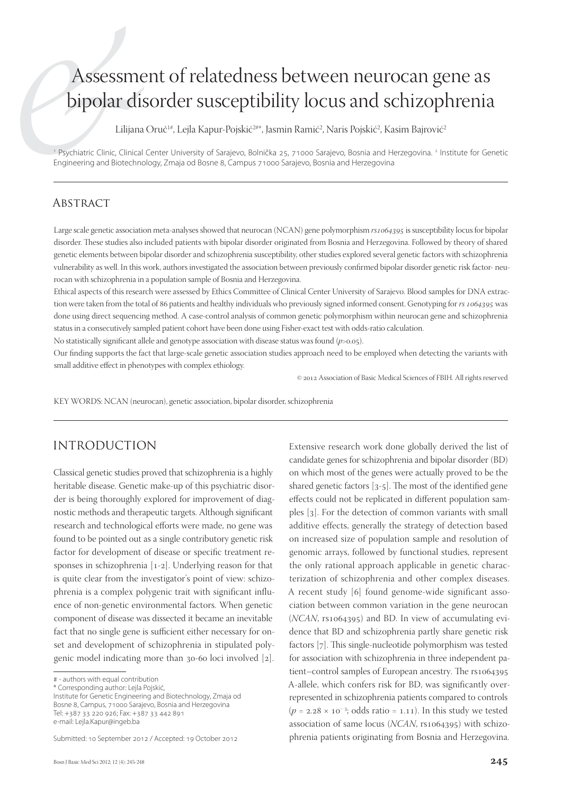# Assessment of relatedness between neurocan gene as bipolar disorder susceptibility locus and schizophrenia

Lilijana Oruč<sup>1#</sup>, Lejla Kapur-Pojskić<sup>2#\*</sup>, Jasmin Ramić<sup>2</sup>, Naris Pojskić<sup>2</sup>, Kasim Bajrović<sup>2</sup>

<sup>1</sup> Psychiatric Clinic, Clinical Center University of Sarajevo, Bolnička 25, 71000 Sarajevo, Bosnia and Herzegovina. <sup>2</sup> Institute for Genetic Engineering and Biotechnology, Zmaja od Bosne 8, Campus 71000 Sarajevo, Bosnia and Herzegovina

#### **ABSTRACT**

Large scale genetic association meta-analyses showed that neurocan (NCAN) gene polymorphism  $rs$ 1064395 is susceptibility locus for bipolar disorder. These studies also included patients with bipolar disorder originated from Bosnia and Herzegovina. Followed by theory of shared genetic elements between bipolar disorder and schizophrenia susceptibility, other studies explored several genetic factors with schizophrenia vulnerability as well. In this work, authors investigated the association between previously confirmed bipolar disorder genetic risk factor- neurocan with schizophrenia in a population sample of Bosnia and Herzegovina.

Ethical aspects of this research were assessed by Ethics Committee of Clinical Center University of Sarajevo. Blood samples for DNA extraction were taken from the total of 86 patients and healthy individuals who previously signed informed consent. Genotyping for  $rs$  1064395 was done using direct sequencing method. A case-control analysis of common genetic polymorphism within neurocan gene and schizophrenia status in a consecutively sampled patient cohort have been done using Fisher-exact test with odds-ratio calculation.

No statistically significant allele and genotype association with disease status was found (*p*>0.05).

Our finding supports the fact that large-scale genetic association studies approach need to be employed when detecting the variants with small additive effect in phenotypes with complex ethiology.

 $© 2012$  Association of Basic Medical Sciences of FBIH. All rights reserved

KEY WORDS: NCAN (neurocan), genetic association, bipolar disorder, schizophrenia

## INTRODUCTION

Classical genetic studies proved that schizophrenia is a highly heritable disease. Genetic make-up of this psychiatric disorder is being thoroughly explored for improvement of diagnostic methods and therapeutic targets. Although significant research and technological efforts were made, no gene was found to be pointed out as a single contributory genetic risk factor for development of disease or specific treatment responses in schizophrenia  $[1-2]$ . Underlying reason for that is quite clear from the investigator's point of view: schizophrenia is a complex polygenic trait with significant influence of non-genetic environmental factors. When genetic component of disease was dissected it became an inevitable fact that no single gene is sufficient either necessary for onset and development of schizophrenia in stipulated polygenic model indicating more than  $30-60$  loci involved  $[2]$ .

\* Corresponding author: Lejla Pojskić,

Institute for Genetic Engineering and Biotechnology, Zmaja od Bosne 8, Campus, 71000 Sarajevo, Bosnia and Herzegovina Tel: +387 33 220 926; Fax: +387 33 442 891 e-mail: Lejla.Kapur@ingeb.ba

Extensive research work done globally derived the list of candidate genes for schizophrenia and bipolar disorder (BD) on which most of the genes were actually proved to be the shared genetic factors  $[3-5]$ . The most of the identified gene effects could not be replicated in different population samples [3]. For the detection of common variants with small additive effects, generally the strategy of detection based on increased size of population sample and resolution of genomic arrays, followed by functional studies, represent the only rational approach applicable in genetic characterization of schizophrenia and other complex diseases. A recent study [6] found genome-wide significant association between common variation in the gene neurocan (*NCAN*, rs1064395) and BD. In view of accumulating evidence that BD and schizophrenia partly share genetic risk factors [7]. This single-nucleotide polymorphism was tested for association with schizophrenia in three independent patient–control samples of European ancestry. The rs1064395 A-allele, which confers risk for BD, was significantly overrepresented in schizophrenia patients compared to controls  $(p = 2.28 \times 10^{-3})$ ; odds ratio = 1.11). In this study we tested association of same locus (*NCAN*, rs1064395) with schizophrenia patients originating from Bosnia and Herzegovina.

<sup># -</sup> authors with equal contribution

Submitted: 10 September 2012 / Accepted: 19 October 2012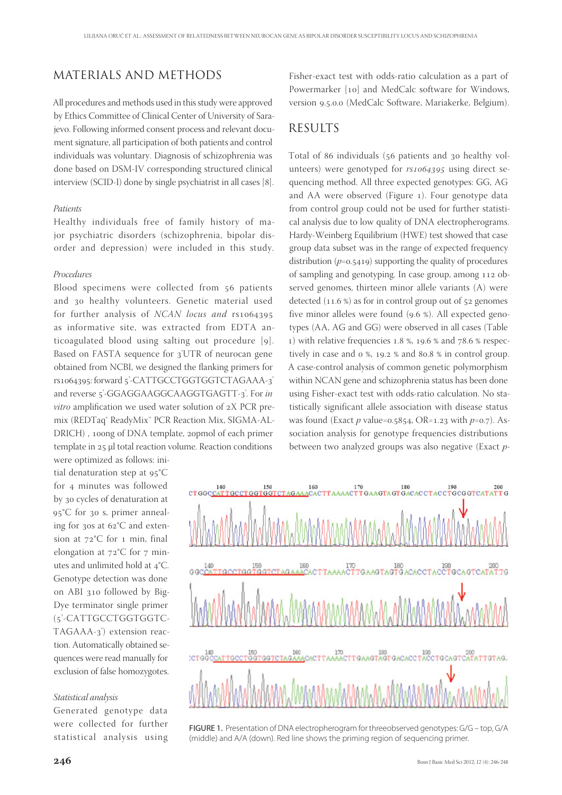## MATERIALS AND METHODS

All procedures and methods used in this study were approved by Ethics Committee of Clinical Center of University of Sarajevo. Following informed consent process and relevant document signature, all participation of both patients and control individuals was voluntary. Diagnosis of schizophrenia was done based on DSM-IV corresponding structured clinical interview (SCID-I) done by single psychiatrist in all cases [8].

#### *Patients*

Healthy individuals free of family history of major psychiatric disorders (schizophrenia, bipolar disorder and depression) were included in this study.

#### *Procedures*

Blood specimens were collected from 56 patients and 30 healthy volunteers. Genetic material used for further analysis of *NCAN locus and* rs as informative site, was extracted from EDTA anticoagulated blood using salting out procedure [9]. Based on FASTA sequence for 3'UTR of neurocan gene obtained from NCBI, we designed the flanking primers for rs1064395: forward 5'-CATTGCCTGGTGGTCTAGAAA-3' and reverse 5'-GGAGGAAGGCAAGGTGAGTT-3'. For in *vitro* amplification we used water solution of 2X PCR premix (REDTaq® ReadyMix™ PCR Reaction Mix, SIGMA-AL-DRICH), 100ng of DNA template, 20pmol of each primer template in 25 μl total reaction volume. Reaction conditions were optimized as follows: ini-

tial denaturation step at  $95^{\circ}$ C for 4 minutes was followed by 30 cycles of denaturation at 95°C for 30 s, primer annealing for 30s at  $62^{\circ}$ C and extension at  $72^{\circ}$ C for 1 min, final elongation at  $72^{\circ}$ C for  $7$  minutes and unlimited hold at 4°C. Genotype detection was done on ABI 310 followed by Big-Dye terminator single primer (5'-CATTGCCTGGTGGTC-TAGAAA-3<sup>'</sup>) extension reaction. Automatically obtained sequences were read manually for exclusion of false homozygotes.

#### *Statistical analysis*

Generated genotype data were collected for further statistical analysis using

Fisher-exact test with odds-ratio calculation as a part of Powermarker [10] and MedCalc software for Windows, version 9.5.0.0 (MedCalc Software, Mariakerke, Belgium).

### RESULTS

Total of 86 individuals (56 patients and 30 healthy volunteers) were genotyped for  $rs1064395$  using direct sequencing method. All three expected genotypes: GG, AG and AA were observed (Figure 1). Four genotype data from control group could not be used for further statistical analysis due to low quality of DNA electropherograms. Hardy-Weinberg Equilibrium (HWE) test showed that case group data subset was in the range of expected frequency distribution  $(p=0.5419)$  supporting the quality of procedures of sampling and genotyping. In case group, among 112 observed genomes, thirteen minor allele variants (A) were detected  $(11.6\%)$  as for in control group out of  $52$  genomes five minor alleles were found  $(9.6 %)$ . All expected genotypes (AA, AG and GG) were observed in all cases (Table 1) with relative frequencies 1.8 %, 19.6 % and  $78.6$  % respectively in case and  $\sigma$  %, 19.2 % and 80.8 % in control group. A case-control analysis of common genetic polymorphism within NCAN gene and schizophrenia status has been done using Fisher-exact test with odds-ratio calculation. No statistically significant allele association with disease status was found (Exact  $p$  value=0.5854, OR=1.23 with  $p=0.7$ ). Association analysis for genotype frequencies distributions between two analyzed groups was also negative (Exact *p*-



FIGURE 1. Presentation of DNA electropherogram for threeobserved genotypes: G/G – top, G/A (middle) and A/A (down). Red line shows the priming region of sequencing primer.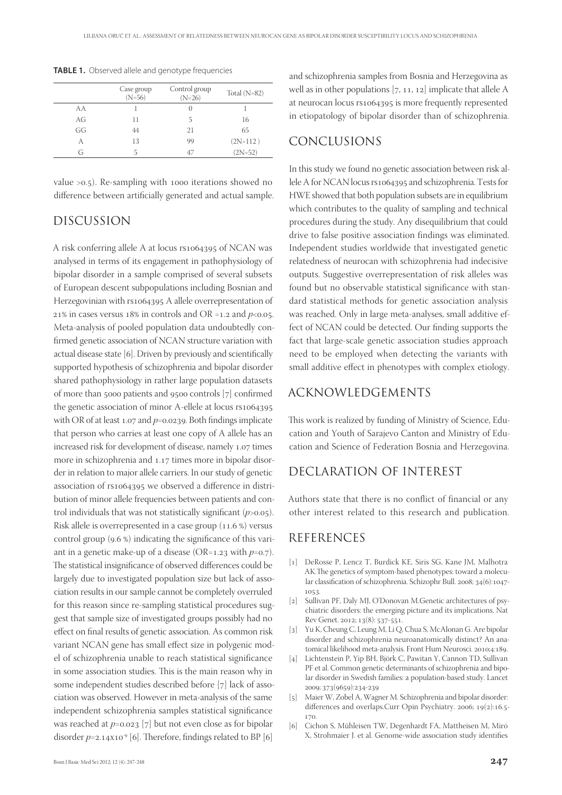|    | Case group<br>$(N=56)$ | Control group<br>$(N=26)$ | Total $(N=82)$ |
|----|------------------------|---------------------------|----------------|
| AA |                        | $\left( \right)$          |                |
| AG | 11                     | 5                         | 16             |
| GG | 44                     | 21                        | 65             |
| А  | 13                     | 99                        | $(2N=112)$     |
| G  | 5                      | 47                        | $(2N=52)$      |

**TABLE 1.** Observed allele and genotype frequencies

value  $>0.5$ ). Re-sampling with 1000 iterations showed no difference between artificially generated and actual sample.

#### DISCUSSION

A risk conferring allele A at locus rs1064395 of NCAN was analysed in terms of its engagement in pathophysiology of bipolar disorder in a sample comprised of several subsets of European descent subpopulations including Bosnian and Herzegovinian with rs1064395 A allele overrepresentation of 21% in cases versus 18% in controls and OR =1.2 and  $p<0.05$ . Meta-analysis of pooled population data undoubtedly confirmed genetic association of NCAN structure variation with actual disease state [6]. Driven by previously and scientifically supported hypothesis of schizophrenia and bipolar disorder shared pathophysiology in rather large population datasets of more than 5000 patients and 9500 controls [7] confirmed the genetic association of minor A-ellele at locus rs1064395 with OR of at least  $1.07$  and  $p=0.0239$ . Both findings implicate that person who carries at least one copy of A allele has an increased risk for development of disease, namely 1.07 times more in schizophrenia and 1.17 times more in bipolar disorder in relation to major allele carriers. In our study of genetic association of rs1064395 we observed a difference in distribution of minor allele frequencies between patients and control individuals that was not statistically significant  $(p>0.05)$ . Risk allele is overrepresented in a case group  $(11.6%)$  versus control group  $(9.6 \%)$  indicating the significance of this variant in a genetic make-up of a disease ( $OR=1.23$  with  $p=0.7$ ). The statistical insignificance of observed differences could be largely due to investigated population size but lack of association results in our sample cannot be completely overruled for this reason since re-sampling statistical procedures suggest that sample size of investigated groups possibly had no effect on final results of genetic association. As common risk variant NCAN gene has small effect size in polygenic model of schizophrenia unable to reach statistical significance in some association studies. This is the main reason why in some independent studies described before [7] lack of association was observed. However in meta-analysis of the same independent schizophrenia samples statistical significance was reached at  $p=0.023$  [7] but not even close as for bipolar disorder  $p=2.14 \times 10^{-9}$  [6]. Therefore, findings related to BP [6]

and schizophrenia samples from Bosnia and Herzegovina as well as in other populations  $[7, 11, 12]$  implicate that allele A at neurocan locus rs1064395 is more frequently represented in etiopatology of bipolar disorder than of schizophrenia.

## CONCLUSIONS

In this study we found no genetic association between risk allele A for NCAN locus rs1064395 and schizophrenia. Tests for HWE showed that both population subsets are in equilibrium which contributes to the quality of sampling and technical procedures during the study. Any disequilibrium that could drive to false positive association findings was eliminated. Independent studies worldwide that investigated genetic relatedness of neurocan with schizophrenia had indecisive outputs. Suggestive overrepresentation of risk alleles was found but no observable statistical significance with standard statistical methods for genetic association analysis was reached. Only in large meta-analyses, small additive effect of NCAN could be detected. Our finding supports the fact that large-scale genetic association studies approach need to be employed when detecting the variants with small additive effect in phenotypes with complex etiology.

#### ACKNOWLEDGEMENTS

This work is realized by funding of Ministry of Science, Education and Youth of Sarajevo Canton and Ministry of Education and Science of Federation Bosnia and Herzegovina.

## DECLARATION OF INTEREST

Authors state that there is no conflict of financial or any other interest related to this research and publication.

#### REFERENCES

- [1] DeRosse P, Lencz T, Burdick KE, Siris SG, Kane JM, Malhotra AK.The genetics of symptom-based phenotypes: toward a molecular classification of schizophrenia. Schizophr Bull. 2008; 34(6):1047-1053.
- [2] Sullivan PF, Daly MJ, O'Donovan M.Genetic architectures of psychiatric disorders: the emerging picture and its implications. Nat Rev Genet. 2012; 13(8): 537-551.
- [3] Yu K, Cheung C, Leung M, Li Q, Chua S, McAlonan G. Are bipolar disorder and schizophrenia neuroanatomically distinct? An anatomical likelihood meta-analysis. Front Hum Neurosci. 2010;4:189.
- [4] Lichtenstein P, Yip BH, Björk C, Pawitan Y, Cannon TD, Sullivan PF et al. Common genetic determinants of schizophrenia and bipolar disorder in Swedish families: a population-based study. Lancet 2009; 373(9659):234-239
- [5] Maier W, Zobel A, Wagner M. Schizophrenia and bipolar disorder: differences and overlaps.Curr Opin Psychiatry. 2006; 19(2):16.5-170
- [6] Cichon S, Mühleisen TW, Degenhardt FA, Mattheisen M, Miró X, Strohmaier J. et al. Genome-wide association study identifies